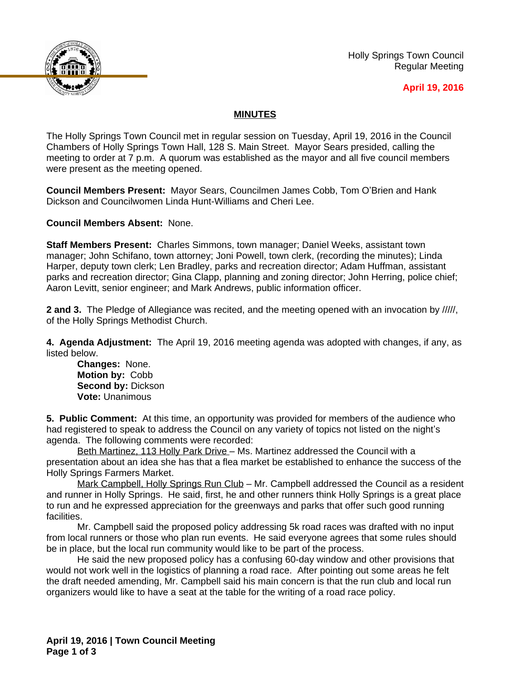

Holly Springs Town Council Regular Meeting

## **April 19, 2016**

## **MINUTES**

The Holly Springs Town Council met in regular session on Tuesday, April 19, 2016 in the Council Chambers of Holly Springs Town Hall, 128 S. Main Street. Mayor Sears presided, calling the meeting to order at 7 p.m. A quorum was established as the mayor and all five council members were present as the meeting opened.

**Council Members Present:** Mayor Sears, Councilmen James Cobb, Tom O'Brien and Hank Dickson and Councilwomen Linda Hunt-Williams and Cheri Lee.

**Council Members Absent:** None.

**Staff Members Present:** Charles Simmons, town manager; Daniel Weeks, assistant town manager; John Schifano, town attorney; Joni Powell, town clerk, (recording the minutes); Linda Harper, deputy town clerk; Len Bradley, parks and recreation director; Adam Huffman, assistant parks and recreation director; Gina Clapp, planning and zoning director; John Herring, police chief; Aaron Levitt, senior engineer; and Mark Andrews, public information officer.

**2 and 3.** The Pledge of Allegiance was recited, and the meeting opened with an invocation by /////, of the Holly Springs Methodist Church.

**4. Agenda Adjustment:** The April 19, 2016 meeting agenda was adopted with changes, if any, as listed below.

**Changes:** None. **Motion by:** Cobb **Second by:** Dickson **Vote:** Unanimous

**5. Public Comment:** At this time, an opportunity was provided for members of the audience who had registered to speak to address the Council on any variety of topics not listed on the night's agenda. The following comments were recorded:

Beth Martinez, 113 Holly Park Drive – Ms. Martinez addressed the Council with a presentation about an idea she has that a flea market be established to enhance the success of the Holly Springs Farmers Market.

Mark Campbell, Holly Springs Run Club – Mr. Campbell addressed the Council as a resident and runner in Holly Springs. He said, first, he and other runners think Holly Springs is a great place to run and he expressed appreciation for the greenways and parks that offer such good running facilities.

Mr. Campbell said the proposed policy addressing 5k road races was drafted with no input from local runners or those who plan run events. He said everyone agrees that some rules should be in place, but the local run community would like to be part of the process.

He said the new proposed policy has a confusing 60-day window and other provisions that would not work well in the logistics of planning a road race. After pointing out some areas he felt the draft needed amending, Mr. Campbell said his main concern is that the run club and local run organizers would like to have a seat at the table for the writing of a road race policy.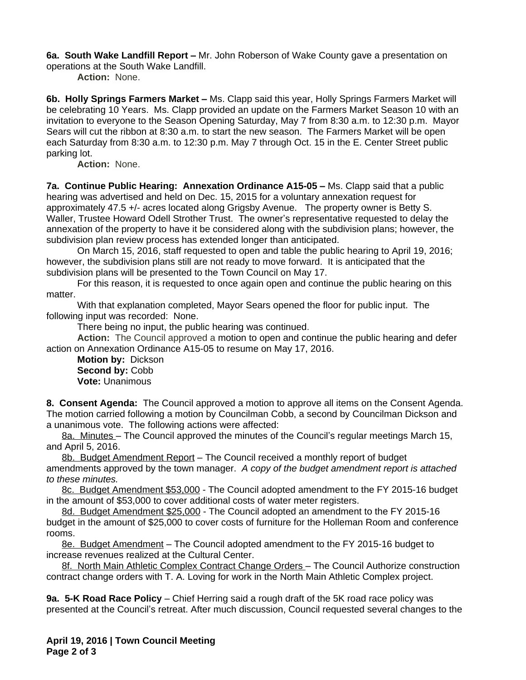**6a. South Wake Landfill Report –** Mr. John Roberson of Wake County gave a presentation on operations at the South Wake Landfill.

**Action:** None.

**6b. Holly Springs Farmers Market –** Ms. Clapp said this year, Holly Springs Farmers Market will be celebrating 10 Years. Ms. Clapp provided an update on the Farmers Market Season 10 with an invitation to everyone to the Season Opening Saturday, May 7 from 8:30 a.m. to 12:30 p.m. Mayor Sears will cut the ribbon at 8:30 a.m. to start the new season. The Farmers Market will be open each Saturday from 8:30 a.m. to 12:30 p.m. May 7 through Oct. 15 in the E. Center Street public parking lot.

**Action:** None.

**7a. Continue Public Hearing: Annexation Ordinance A15-05 – Ms. Clapp said that a public** hearing was advertised and held on Dec. 15, 2015 for a voluntary annexation request for approximately 47.5 +/- acres located along Grigsby Avenue. The property owner is Betty S. Waller, Trustee Howard Odell Strother Trust. The owner's representative requested to delay the annexation of the property to have it be considered along with the subdivision plans; however, the subdivision plan review process has extended longer than anticipated.

On March 15, 2016, staff requested to open and table the public hearing to April 19, 2016; however, the subdivision plans still are not ready to move forward. It is anticipated that the subdivision plans will be presented to the Town Council on May 17.

For this reason, it is requested to once again open and continue the public hearing on this matter.

With that explanation completed, Mayor Sears opened the floor for public input. The following input was recorded: None.

There being no input, the public hearing was continued.

**Action:** The Council approved a motion to open and continue the public hearing and defer action on Annexation Ordinance A15-05 to resume on May 17, 2016.

**Motion by:** Dickson Second by: Cobb **Vote:** Unanimous

**8. Consent Agenda:** The Council approved a motion to approve all items on the Consent Agenda. The motion carried following a motion by Councilman Cobb, a second by Councilman Dickson and a unanimous vote. The following actions were affected:

8a. Minutes – The Council approved the minutes of the Council's regular meetings March 15, and April 5, 2016.

8b. Budget Amendment Report – The Council received a monthly report of budget amendments approved by the town manager. *A copy of the budget amendment report is attached to these minutes.* 

8c. Budget Amendment \$53,000 - The Council adopted amendment to the FY 2015-16 budget in the amount of \$53,000 to cover additional costs of water meter registers.

8d. Budget Amendment \$25,000 - The Council adopted an amendment to the FY 2015-16 budget in the amount of \$25,000 to cover costs of furniture for the Holleman Room and conference rooms.

8e. Budget Amendment – The Council adopted amendment to the FY 2015-16 budget to increase revenues realized at the Cultural Center.

8f. North Main Athletic Complex Contract Change Orders - The Council Authorize construction contract change orders with T. A. Loving for work in the North Main Athletic Complex project.

**9a. 5-K Road Race Policy** – Chief Herring said a rough draft of the 5K road race policy was presented at the Council's retreat. After much discussion, Council requested several changes to the

**April 19, 2016 | Town Council Meeting Page 2 of 3**